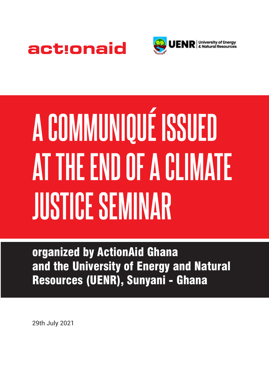



# **A COMMUNIQUÉ ISSUED AT THE END OF A CLIMATE JUSTICE SEMINAR**

organized by ActionAid Ghana and the University of Energy and Natural Resources (UENR), Sunyani - Ghana

29th July 2021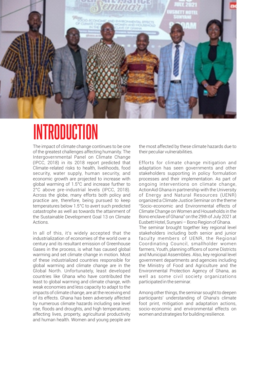

#### **INTRODUCTION**

The impact of climate change continues to be one of the greatest challenges affecting humanity. The Intergovernmental Panel on Climate Change (IPCC, 2018) in its 2018 report predicted that Climate-related risks to health, livelihoods, food security, water supply, human security, and economic growth are projected to increase with global warming of 1.5°C and increase further to 2°C above pre-industrial levels (IPCC, 2018). Across the globe, many efforts both policy and practice are, therefore, being pursued to keep temperatures below 1.5°C to avert such predicted catastrophe as well as towards the attainment of the Sustainable Development Goal 13 on Climate Actions.

In all of this, it's widely accepted that the industrialization of economies of the world over a century and its resultant emission of Greenhouse Gases in the process, is what has caused global warming and set climate change in motion. Most of these industrialized countries responsible for global warming and climate change are in the Global North. Unfortunately, least developed countries like Ghana who have contributed the least to global warming and climate change, with weak economies and less capacity to adapt to the impacts of climate change, are at the receiving end of its effects. Ghana has been adversely affected by numerous climate hazards including sea level rise, floods and droughts, and high temperatures; affecting lives, property, agricultural productivity and human health. Women and young people are

the most affected by these climate hazards due to their peculiar vulnerabilities.

The seminar brought together key regional level stakeholders including both senior and junior faculty members of UENR, the Regional Coordinating Council, smallholder women farmers, Youth, planning officers of some Districts and Municipal Assemblies. Also, key regional level government departments and agencies including the Ministry of Food and Agriculture and the Environmental Protection Agency of Ghana, as well as some civil society organizations participated in the seminar. Efforts for climate change mitigation and adaptation has seen governments and other stakeholders supporting in policy formulation processes and their implementation. As part of ongoing interventions on climate change, ActionAid Ghana in partnership with the University of Energy and Natural Resources (UENR) organized a Climate Justice Seminar on the theme "Socio-economic and Environmental effects of Climate Change on Women and Households in the Bono enclave of Ghana" on the 29th of July 2021 at Eusbett Hotel, Sunyani – Bono Region of Ghana.

Among other things, the seminar sought to deepen participants' understanding of Ghana's climate foot print, mitigation and adaptation actions, socio-economic and environmental effects on women and strategies for building resilience.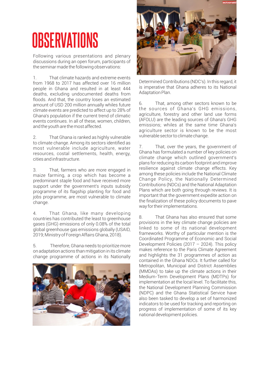### **OBSERVATIONS**

Following various presentations and plenary discussions during an open forum, participants of the seminar made the following observations:

1. That climate hazards and extreme events from 1968 to 2017 has affected over 16 million people in Ghana and resulted in at least 444 deaths, excluding undocumented deaths from floods. And that, the country loses an estimated amount of USD 200 million annually whiles future climate events are predicted to affect up to 28% of Ghana's population if the current trend of climatic events continues. In all of these, women, children, and the youth are the most affected.

2. That Ghana is ranked as highly vulnerable to climate change. Among its sectors identified as most vulnerable include agriculture, water resources, costal settlements, health, energy, cities and infrastructure.

3. That, farmers who are more engaged in maize farming, a crop which has become a predominant staple food and have received more support under the government's inputs subsidy programme of its flagship planting for food and jobs programme, are most vulnerable to climate change.

4. That Ghana, like many developing countries has contributed the least to greenhouse gases (GHG) emissions of only 0.08% of the total global greenhouse gas emissions globally (USAID, 2019; Ministry of Foreign Affairs Ghana, 2018).

5. Therefore, Ghana needs to prioritize more on adaptation actions than mitigation in its climate change programme of actions in its Nationally





Determined Contributions (NDC's). In this regard, it is imperative that Ghana adheres to its National Adaptation Plan.

6. That, among other sectors known to be the sources of Ghana's GHG emissions, agriculture, forestry and other land use forms (AFOLU) are the leading sources of Ghana's GHG emissions; whiles at the same time Ghana's agriculture sector is known to be the most vulnerable sector to climate change.

7. That, over the years, the government of Ghana has formulated a number of key policies on climate change which outlined government's plans for reducing its carbon footprint and improve resilience against climate change effects. Key among these policies include the National Climate Change Policy, the Nationally Determined Contributions (NDCs) and the National Adaptation Plans which are both going through reviews. It is important that the government expedite action on the finalization of these policy documents to pave way for their implementations.

8. That Ghana has also ensured that some provisions in the key climate change policies are linked to some of its national development frameworks. Worthy of particular mention is the Coordinated Programme of Economic and Social Development Policies (2017 – 2024). This policy makes reference to the Paris Climate Agreement and highlights the 31 programmes of action as contained in the Ghana NDCs. It further called for Metropolitan, Municipal and District Assemblies (MMDAs) to take up the climate actions in their Medium-Term Development Plans (MDTPs) for implementation at the local level. To facilitate this, the National Development Planning Commission (NDPC) and the Ghana Statistical Service have also been tasked to develop a set of harmonized indicators to be used for tracking and reporting on progress of implementation of some of its key national development policies.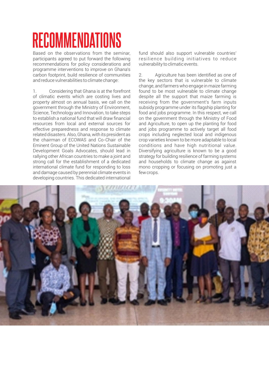## **RECOMMENDATIONS**

Based on the observations from the seminar, participants agreed to put forward the following recommendations for policy considerations and programme interventions to improve on Ghana's carbon footprint, build resilience of communities and reduce vulnerabilities to climate change:

1. Considering that Ghana is at the forefront of climatic events which are costing lives and property almost on annual basis, we call on the government through the Ministry of Environment, Science, Technology and Innovation, to take steps to establish a national fund that will draw financial resources from local and external sources for effective preparedness and response to climate related disasters. Also, Ghana, with its president as the chairman of ECOWAS and Co-Chair of the Eminent Group of the United Nations Sustainable Development Goals Advocates, should lead in rallying other African countries to make a joint and strong call for the establishment of a dedicated international climate fund for responding to loss and damage caused by perennial climate events in developing countries. This dedicated international

fund should also support vulnerable countries' resilience building initiatives to reduce vulnerability to climatic events.

2. Agriculture has been identified as one of the key sectors that is vulnerable to climate change, and farmers who engage in maize farming found to be most vulnerable to climate change despite all the support that maize farming is receiving from the government's farm inputs subsidy programme under its flagship planting for food and jobs programme. In this respect, we call on the government through the Ministry of Food and Agriculture, to open up the planting for food and jobs programme to actively target all food crops including neglected local and indigenous crop varieties known to be more adaptable to local conditions and have high nutritional value. Diversifying agriculture is known to be a good strategy for building resilience of farming systems and households to climate change as against mono cropping or focusing on promoting just a few crops.

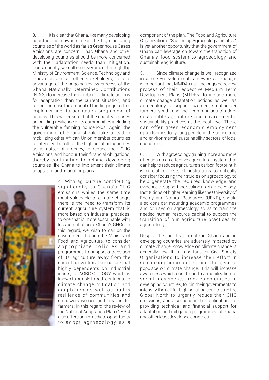3. It is clear that Ghana, like many developing countries, is nowhere near the high polluting countries of the world as far as Greenhouse Gases emissions are concern. That, Ghana and other developing countries should be more concerned with their adaptation needs than mitigation. Consequently, we call on government through the Ministry of Environment, Science, Technology and Innovation and all other stakeholders, to take advantage of the ongoing review process of the Ghana Nationally Determined Contributions (NDCs) to increase the number of climate actions for adaptation than the current situation, and further increase the amount of funding required for implementing its adaptation programme of actions. This will ensure that the country focuses on building resilience of its communities including the vulnerable farming households. Again, the government of Ghana should take a lead in mobilizing other African Union member countries to intensify the call for the high polluting countries as a matter of urgency, to reduce their GHG emissions and honour their financial obligations, thereby contributing to helping developing countries like Ghana to implement their climate adaptation and mitigation plans. 3. It is clear that Ghana, like many developing component of the plan. The Food and Agriculture countries, is nowhere near the high polluting Organization's "Scaling up Agroecology Initiative"<br>countries of the world as far



4. With agriculture contributing significantly to Ghana's GHG emissions whiles the same time most vulnerable to climate change, there is the need to transform its current agriculture system that is more based on industrial practices, to one that is more sustainable with less contribution to Ghana's GHGs. In this regard, we wish to call on the government through the Ministry of Food and Agriculture, to consider appropriate policies and programmes to support a transition of its agriculture away from the current conventional agriculture that highly dependents on industrial inputs, to AGROECOLOGY which is known to be able to both contribute to climate change mitigation and adaptation as well as builds resilience of communities and empowers women and smallholder farmers. In this regard, the review of the National Adaptation Plan (NAPs) also offers an immediate opportunity to adopt agroecology as a Organization's "Scaling up Agroecology Initiative" is yet another opportunity that the government of Ghana can leverage on toward the transition of Ghana's food system to agroecology and sustainable agriculture.

5. Since climate change is well recognized in some key development frameworks of Ghana, it is important that MMDAs use the ongoing review process of their respective Medium Term Development Plans (MTDPs) to include more climate change adaptation actions as well as agroecology to support women, smallholder farmers, youth, and their communities to adopt sustainable agriculture and environmental sustainability practices at the local level. These can offer green economic employment opportunities for young people in the agriculture and environmental sustainability sectors of local economies.

6. With agroecology gaining more and more attention as an effective agricultural system that can help to reduce agriculture's carbon footprint, it is crucial for research institutions to critically consider focusing their studies on agroecology to help generate the required knowledge and evidence to support the scaling up of agroecology. Institutions of higher learning like the University of Energy and Natural Resources (UENR), should also consider mounting academic programmes and courses on agroecology so as to train the needed human resource capital to support the transition of our agriculture practices to agroecology.

Despite the fact that people in Ghana and in developing countries are adversely impacted by climate change, knowledge on climate change is generally low. It is important for Civil Society Organizations to increase their effort in sensitizing communities and the general populace on climate change. This will increase awareness which could lead to a mobilization of social movements from communities in developing countries, to join their governments to intensify the call for high polluting countries in the Global North to urgently reduce their GHG emissions, and also honour their obligations of providing technical and financial support for adaptation and mitigation programmes of Ghana and other least developed countries.